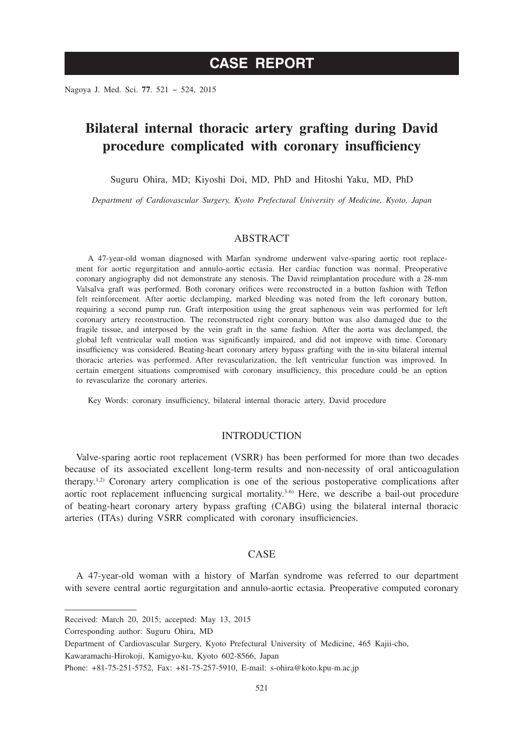# **CASE REPORT**

Nagoya J. Med. Sci. **77**. 521 ~ 524, 2015

# **Bilateral internal thoracic artery grafting during David procedure complicated with coronary insufficiency**

Suguru Ohira, MD; Kiyoshi Doi, MD, PhD and Hitoshi Yaku, MD, PhD

*Department of Cardiovascular Surgery, Kyoto Prefectural University of Medicine, Kyoto, Japan*

## ABSTRACT

A 47-year-old woman diagnosed with Marfan syndrome underwent valve-sparing aortic root replacement for aortic regurgitation and annulo-aortic ectasia. Her cardiac function was normal. Preoperative coronary angiography did not demonstrate any stenosis. The David reimplantation procedure with a 28-mm Valsalva graft was performed. Both coronary orifices were reconstructed in a button fashion with Teflon felt reinforcement. After aortic declamping, marked bleeding was noted from the left coronary button, requiring a second pump run. Graft interposition using the great saphenous vein was performed for left coronary artery reconstruction. The reconstructed right coronary button was also damaged due to the fragile tissue, and interposed by the vein graft in the same fashion. After the aorta was declamped, the global left ventricular wall motion was significantly impaired, and did not improve with time. Coronary insufficiency was considered. Beating-heart coronary artery bypass grafting with the in-situ bilateral internal thoracic arteries was performed. After revascularization, the left ventricular function was improved. In certain emergent situations compromised with coronary insufficiency, this procedure could be an option to revascularize the coronary arteries.

Key Words: coronary insufficiency, bilateral internal thoracic artery, David procedure

### INTRODUCTION

Valve-sparing aortic root replacement (VSRR) has been performed for more than two decades because of its associated excellent long-term results and non-necessity of oral anticoagulation therapy.1,2) Coronary artery complication is one of the serious postoperative complications after aortic root replacement influencing surgical mortality.<sup>3-6)</sup> Here, we describe a bail-out procedure of beating-heart coronary artery bypass grafting (CABG) using the bilateral internal thoracic arteries (ITAs) during VSRR complicated with coronary insufficiencies.

## CASE

A 47-year-old woman with a history of Marfan syndrome was referred to our department with severe central aortic regurgitation and annulo-aortic ectasia. Preoperative computed coronary

Received: March 20, 2015; accepted: May 13, 2015

Corresponding author: Suguru Ohira, MD

Department of Cardiovascular Surgery, Kyoto Prefectural University of Medicine, 465 Kajii-cho,

Kawaramachi-Hirokoji, Kamigyo-ku, Kyoto 602-8566, Japan

Phone: +81-75-251-5752, Fax: +81-75-257-5910, E-mail: s-ohira@koto.kpu-m.ac.jp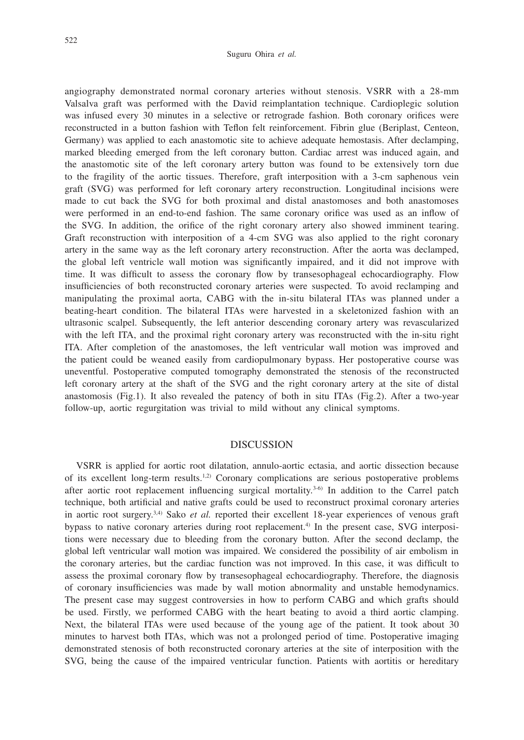#### Suguru Ohira *et al.*

angiography demonstrated normal coronary arteries without stenosis. VSRR with a 28-mm Valsalva graft was performed with the David reimplantation technique. Cardioplegic solution was infused every 30 minutes in a selective or retrograde fashion. Both coronary orifices were reconstructed in a button fashion with Teflon felt reinforcement. Fibrin glue (Beriplast, Centeon, Germany) was applied to each anastomotic site to achieve adequate hemostasis. After declamping, marked bleeding emerged from the left coronary button. Cardiac arrest was induced again, and the anastomotic site of the left coronary artery button was found to be extensively torn due to the fragility of the aortic tissues. Therefore, graft interposition with a 3-cm saphenous vein graft (SVG) was performed for left coronary artery reconstruction. Longitudinal incisions were made to cut back the SVG for both proximal and distal anastomoses and both anastomoses were performed in an end-to-end fashion. The same coronary orifice was used as an inflow of the SVG. In addition, the orifice of the right coronary artery also showed imminent tearing. Graft reconstruction with interposition of a 4-cm SVG was also applied to the right coronary artery in the same way as the left coronary artery reconstruction. After the aorta was declamped, the global left ventricle wall motion was significantly impaired, and it did not improve with time. It was difficult to assess the coronary flow by transesophageal echocardiography. Flow insufficiencies of both reconstructed coronary arteries were suspected. To avoid reclamping and manipulating the proximal aorta, CABG with the in-situ bilateral ITAs was planned under a beating-heart condition. The bilateral ITAs were harvested in a skeletonized fashion with an ultrasonic scalpel. Subsequently, the left anterior descending coronary artery was revascularized with the left ITA, and the proximal right coronary artery was reconstructed with the in-situ right ITA. After completion of the anastomoses, the left ventricular wall motion was improved and the patient could be weaned easily from cardiopulmonary bypass. Her postoperative course was uneventful. Postoperative computed tomography demonstrated the stenosis of the reconstructed left coronary artery at the shaft of the SVG and the right coronary artery at the site of distal anastomosis (Fig.1). It also revealed the patency of both in situ ITAs (Fig.2). After a two-year follow-up, aortic regurgitation was trivial to mild without any clinical symptoms.

#### **DISCUSSION**

VSRR is applied for aortic root dilatation, annulo-aortic ectasia, and aortic dissection because of its excellent long-term results.1,2) Coronary complications are serious postoperative problems after aortic root replacement influencing surgical mortality.<sup>3-6)</sup> In addition to the Carrel patch technique, both artificial and native grafts could be used to reconstruct proximal coronary arteries in aortic root surgery.3,4) Sako *et al.* reported their excellent 18-year experiences of venous graft bypass to native coronary arteries during root replacement.<sup>4)</sup> In the present case, SVG interpositions were necessary due to bleeding from the coronary button. After the second declamp, the global left ventricular wall motion was impaired. We considered the possibility of air embolism in the coronary arteries, but the cardiac function was not improved. In this case, it was difficult to assess the proximal coronary flow by transesophageal echocardiography. Therefore, the diagnosis of coronary insufficiencies was made by wall motion abnormality and unstable hemodynamics. The present case may suggest controversies in how to perform CABG and which grafts should be used. Firstly, we performed CABG with the heart beating to avoid a third aortic clamping. Next, the bilateral ITAs were used because of the young age of the patient. It took about 30 minutes to harvest both ITAs, which was not a prolonged period of time. Postoperative imaging demonstrated stenosis of both reconstructed coronary arteries at the site of interposition with the SVG, being the cause of the impaired ventricular function. Patients with aortitis or hereditary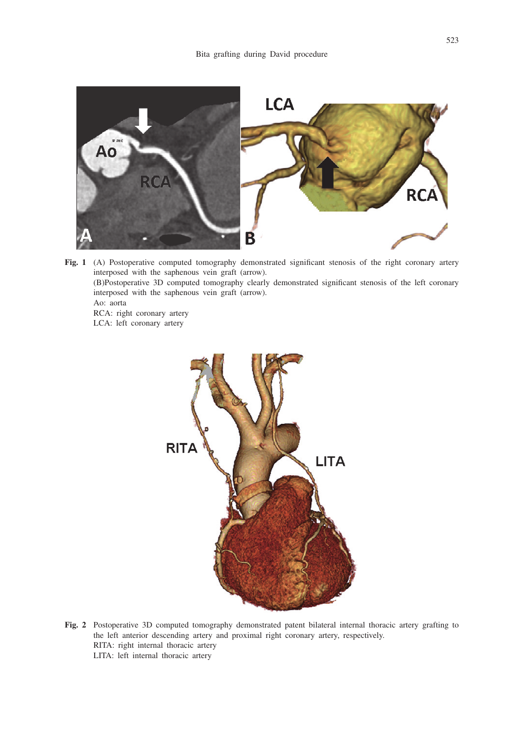

**Fig. 1** (A) Postoperative computed tomography demonstrated significant stenosis of the right coronary artery interposed with the saphenous vein graft (arrow). (B)Postoperative 3D computed tomography clearly demonstrated significant stenosis of the left coronary interposed with the saphenous vein graft (arrow). Ao: aorta RCA: right coronary artery

LCA: left coronary artery



**Fig. 2** Postoperative 3D computed tomography demonstrated patent bilateral internal thoracic artery grafting to the left anterior descending artery and proximal right coronary artery, respectively. RITA: right internal thoracic artery LITA: left internal thoracic artery